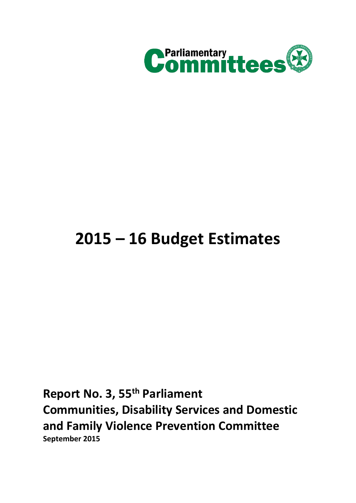

# **2015 – 16 Budget Estimates**

**Report No. 3, 55th Parliament Communities, Disability Services and Domestic and Family Violence Prevention Committee September 2015**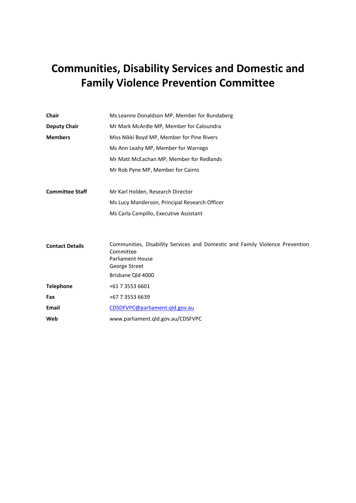# **Communities, Disability Services and Domestic and Family Violence Prevention Committee**

| <b>Chair</b><br>Ms Leanne Donaldson MP, Member for Bundaberg    |                                                                                                                      |  |  |
|-----------------------------------------------------------------|----------------------------------------------------------------------------------------------------------------------|--|--|
| Mr Mark McArdle MP, Member for Caloundra<br><b>Deputy Chair</b> |                                                                                                                      |  |  |
| <b>Members</b>                                                  | Miss Nikki Boyd MP, Member for Pine Rivers                                                                           |  |  |
|                                                                 | Ms Ann Leahy MP, Member for Warrego                                                                                  |  |  |
|                                                                 | Mr Matt McEachan MP, Member for Redlands                                                                             |  |  |
|                                                                 | Mr Rob Pyne MP, Member for Cairns                                                                                    |  |  |
| <b>Committee Staff</b>                                          | Mr Karl Holden, Research Director                                                                                    |  |  |
|                                                                 | Ms Lucy Manderson, Principal Research Officer                                                                        |  |  |
|                                                                 | Ms Carla Campillo, Executive Assistant                                                                               |  |  |
| <b>Contact Details</b>                                          | Communities, Disability Services and Domestic and Family Violence Prevention<br>Committee<br><b>Parliament House</b> |  |  |
|                                                                 | George Street                                                                                                        |  |  |
|                                                                 | Brisbane Qld 4000                                                                                                    |  |  |
| <b>Telephone</b>                                                | +61 7 3553 6601                                                                                                      |  |  |
| Fax                                                             | +67 7 3553 6639                                                                                                      |  |  |
| Email                                                           | CDSDFVPC@parliament.qld.gov.au                                                                                       |  |  |
| Web                                                             | www.parliament.qld.gov.au/CDSFVPC                                                                                    |  |  |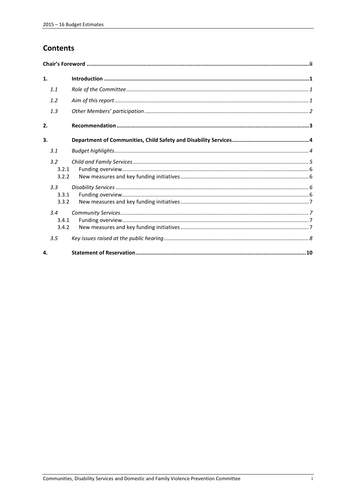# **Contents**

| 1. |                       |  |  |  |
|----|-----------------------|--|--|--|
|    | 1.1                   |  |  |  |
|    | 1.2                   |  |  |  |
|    | 1.3                   |  |  |  |
| 2. |                       |  |  |  |
| 3. |                       |  |  |  |
|    | 3.1                   |  |  |  |
|    | 3.2<br>3.2.1<br>3.2.2 |  |  |  |
|    | 3.3<br>3.3.1<br>3.3.2 |  |  |  |
|    | 3.4<br>3.4.1<br>3.4.2 |  |  |  |
| 4. | 3.5                   |  |  |  |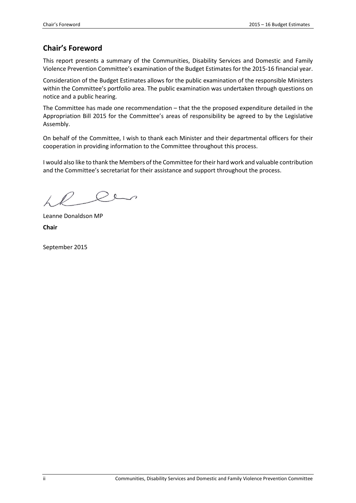# <span id="page-5-0"></span>**Chair's Foreword**

This report presents a summary of the Communities, Disability Services and Domestic and Family Violence Prevention Committee's examination of the Budget Estimates for the 2015-16 financial year.

Consideration of the Budget Estimates allows for the public examination of the responsible Ministers within the Committee's portfolio area. The public examination was undertaken through questions on notice and a public hearing.

The Committee has made one recommendation – that the the proposed expenditure detailed in the Appropriation Bill 2015 for the Committee's areas of responsibility be agreed to by the Legislative Assembly.

On behalf of the Committee, I wish to thank each Minister and their departmental officers for their cooperation in providing information to the Committee throughout this process.

I would also like to thank the Members of the Committee for their hard work and valuable contribution and the Committee's secretariat for their assistance and support throughout the process.

 $\sqrt{2}$ 

Leanne Donaldson MP **Chair**

September 2015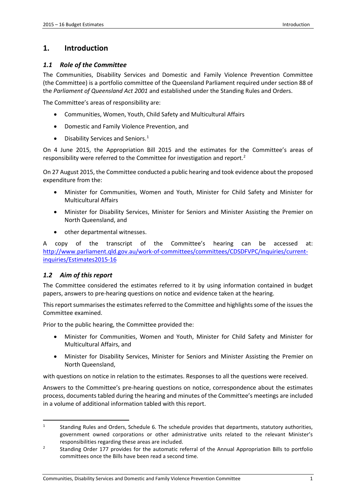#### <span id="page-6-0"></span>**1. Introduction**

#### <span id="page-6-1"></span>*1.1 Role of the Committee*

The Communities, Disability Services and Domestic and Family Violence Prevention Committee (the Committee) is a portfolio committee of the Queensland Parliament required under section 88 of the *Parliament of Queensland Act 2001* and established under the Standing Rules and Orders.

The Committee's areas of responsibility are:

- Communities, Women, Youth, Child Safety and Multicultural Affairs
- Domestic and Family Violence Prevention, and
- $\bullet$  Disability Services and Seniors.<sup>[1](#page-6-3)</sup>

On 4 June 2015, the Appropriation Bill 2015 and the estimates for the Committee's areas of responsibility were referred to the Committee for investigation and report[.2](#page-6-4)

On 27 August 2015, the Committee conducted a public hearing and took evidence about the proposed expenditure from the:

- Minister for Communities, Women and Youth, Minister for Child Safety and Minister for Multicultural Affairs
- Minister for Disability Services, Minister for Seniors and Minister Assisting the Premier on North Queensland, and
- other departmental witnesses.

A copy of the transcript of the Committee's hearing can be accessed at: [http://www.parliament.qld.gov.au/work-of-committees/committees/CDSDFVPC/inquiries/current](http://www.parliament.qld.gov.au/work-of-committees/committees/CDSDFVPC/inquiries/current-inquiries/Estimates2015-16)[inquiries/Estimates2015-16](http://www.parliament.qld.gov.au/work-of-committees/committees/CDSDFVPC/inquiries/current-inquiries/Estimates2015-16)

#### <span id="page-6-2"></span>*1.2 Aim of this report*

**.** 

The Committee considered the estimates referred to it by using information contained in budget papers, answers to pre-hearing questions on notice and evidence taken at the hearing.

This report summarises the estimates referred to the Committee and highlights some of the issues the Committee examined.

Prior to the public hearing, the Committee provided the:

- Minister for Communities, Women and Youth, Minister for Child Safety and Minister for Multicultural Affairs, and
- Minister for Disability Services, Minister for Seniors and Minister Assisting the Premier on North Queensland,

with questions on notice in relation to the estimates. Responses to all the questions were received.

Answers to the Committee's pre-hearing questions on notice, correspondence about the estimates process, documents tabled during the hearing and minutes of the Committee's meetings are included in a volume of additional information tabled with this report.

<span id="page-6-3"></span><sup>&</sup>lt;sup>1</sup> Standing Rules and Orders, Schedule 6. The schedule provides that departments, statutory authorities, government owned corporations or other administrative units related to the relevant Minister's responsibilities regarding these areas are included.

<span id="page-6-4"></span><sup>2</sup> Standing Order 177 provides for the automatic referral of the Annual Appropriation Bills to portfolio committees once the Bills have been read a second time.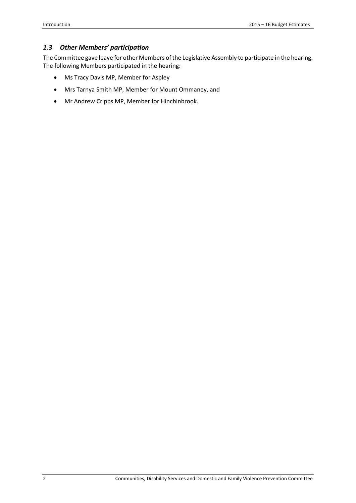#### <span id="page-7-0"></span>*1.3 Other Members' participation*

The Committee gave leave for other Members of the Legislative Assembly to participate in the hearing. The following Members participated in the hearing:

- Ms Tracy Davis MP, Member for Aspley
- Mrs Tarnya Smith MP, Member for Mount Ommaney, and
- Mr Andrew Cripps MP, Member for Hinchinbrook.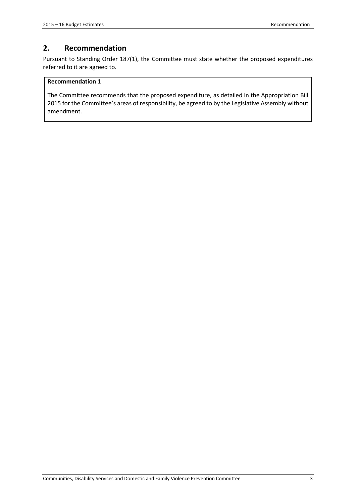# <span id="page-8-0"></span>**2. Recommendation**

Pursuant to Standing Order 187(1), the Committee must state whether the proposed expenditures referred to it are agreed to.

#### **Recommendation 1**

The Committee recommends that the proposed expenditure, as detailed in the Appropriation Bill 2015 for the Committee's areas of responsibility, be agreed to by the Legislative Assembly without amendment.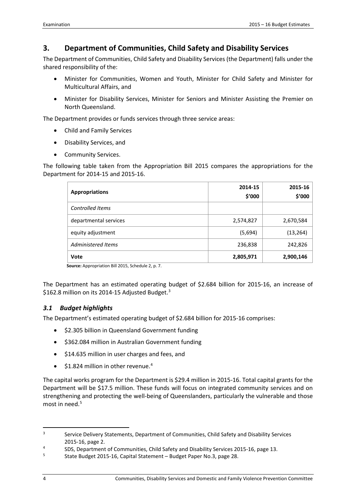# <span id="page-9-0"></span>**3. Department of Communities, Child Safety and Disability Services**

The Department of Communities, Child Safety and Disability Services (the Department) falls under the shared responsibility of the:

- Minister for Communities, Women and Youth, Minister for Child Safety and Minister for Multicultural Affairs, and
- Minister for Disability Services, Minister for Seniors and Minister Assisting the Premier on North Queensland.

The Department provides or funds services through three service areas:

- Child and Family Services
- Disability Services, and
- Community Services.

The following table taken from the Appropriation Bill 2015 compares the appropriations for the Department for 2014-15 and 2015-16.

| <b>Appropriations</b>   | 2014-15<br>\$'000 | 2015-16<br>\$'000 |
|-------------------------|-------------------|-------------------|
| <b>Controlled Items</b> |                   |                   |
| departmental services   | 2,574,827         | 2,670,584         |
| equity adjustment       | (5,694)           | (13, 264)         |
| Administered Items      | 236,838           | 242,826           |
| <b>Vote</b>             | 2,805,971         | 2,900,146         |

 **Source:** Appropriation Bill 2015, Schedule 2, p. 7.

The Department has an estimated operating budget of \$2.684 billion for 2015-16, an increase of \$162.8 million on its 2014-15 Adjusted Budget.<sup>[3](#page-9-2)</sup>

#### <span id="page-9-1"></span>*3.1 Budget highlights*

The Department's estimated operating budget of \$2.684 billion for 2015-16 comprises:

- \$2.305 billion in Queensland Government funding
- \$362.084 million in Australian Government funding
- \$14.635 million in user charges and fees, and
- $\bullet$  \$1.82[4](#page-9-3) million in other revenue.<sup>4</sup>

The capital works program for the Department is \$29.4 million in 2015-16. Total capital grants for the Department will be \$17.5 million. These funds will focus on integrated community services and on strengthening and protecting the well-being of Queenslanders, particularly the vulnerable and those most in need.<sup>[5](#page-9-4)</sup>

**.** 

<span id="page-9-2"></span><sup>&</sup>lt;sup>3</sup> Service Delivery Statements, Department of Communities, Child Safety and Disability Services 2015-16, page 2.

<span id="page-9-3"></span><sup>4</sup> SDS, Department of Communities, Child Safety and Disability Services 2015-16, page 13.

<span id="page-9-4"></span><sup>5</sup> State Budget 2015-16, Capital Statement – Budget Paper No.3, page 28.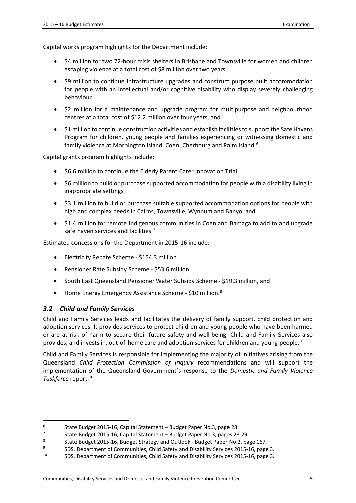Capital works program highlights for the Department include:

- \$4 million for two 72-hour crisis shelters in Brisbane and Townsville for women and children escaping violence at a total cost of \$8 million over two years
- \$9 million to continue infrastructure upgrades and construct purpose built accommodation for people with an intellectual and/or cognitive disability who display severely challenging behaviour
- \$2 million for a maintenance and upgrade program for multipurpose and neighbourhood centres at a total cost of \$12.2 million over four years, and
- \$1 million to continue construction activities and establish facilities to support the Safe Havens Program for children, young people and families experiencing or witnessing domestic and family violence at Mornington Island, Coen, Cherbourg and Palm Island.<sup>[6](#page-10-1)</sup>

Capital grants program highlights include:

- \$6.6 million to continue the Elderly Parent Carer Innovation Trial
- \$6 million to build or purchase supported accommodation for people with a disability living in inappropriate settings
- \$3.1 million to build or purchase suitable supported accommodation options for people with high and complex needs in Cairns, Townsville, Wynnum and Banyo, and
- \$1.4 million for remote Indigenous communities in Coen and Bamaga to add to and upgrade safe haven services and facilities.<sup>[7](#page-10-2)</sup>

Estimated concessions for the Department in 2015-16 include:

- Electricity Rebate Scheme \$154.3 million
- Pensioner Rate Subsidy Scheme \$53.6 million
- South East Queensland Pensioner Water Subsidy Scheme \$19.3 million, and
- Home Energy Emergency Assistance Scheme \$10 million.<sup>[8](#page-10-3)</sup>

#### <span id="page-10-0"></span>*3.2 Child and Family Services*

**.** 

Child and Family Services leads and facilitates the delivery of family support, child protection and adoption services. It provides services to protect children and young people who have been harmed or are at risk of harm to secure their future safety and well-being. Child and Family Services also provides, and invests in, out-of-home care and adoption services for children and young people.<sup>[9](#page-10-4)</sup>

Child and Family Services is responsible for implementing the majority of initiatives arising from the Queensland *Child Protection Commission of Inquiry* recommendations and will support the implementation of the Queensland Government's response to the *Domestic and Family Violence Taskforce* report. [10](#page-10-5)

<span id="page-10-1"></span><sup>&</sup>lt;sup>6</sup> State Budget 2015-16, Capital Statement – Budget Paper No.3, page 28.<br><sup>7</sup> State Budget 2015-16, Capital Statement – Budget Paper No.3, pages 28.

<span id="page-10-2"></span><sup>7</sup> State Budget 2015-16, Capital Statement – Budget Paper No.3, pages 28-29.

<span id="page-10-3"></span><sup>8</sup> State Budget 2015-16, Budget Strategy and Outlook - Budget Paper No.2, page 167.<br>SDS, Denartment of Communities, Child Safety and Disability Services 2015-16, page

<span id="page-10-5"></span><span id="page-10-4"></span><sup>9</sup> SDS, Department of Communities, Child Safety and Disability Services 2015-16, page 3.<br>10 SDS, Department of Communities, Child Safety and Disability Services 2015-16, page 2. <sup>10</sup> SDS, Department of Communities, Child Safety and Disability Services 2015-16, page 3.

Communities, Disability Services and Domestic and Family Violence Prevention Committee 5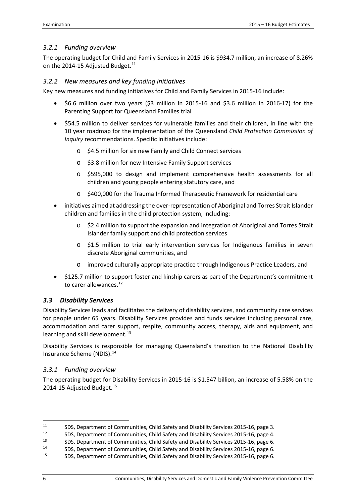#### <span id="page-11-0"></span>*3.2.1 Funding overview*

The operating budget for Child and Family Services in 2015-16 is \$934.7 million, an increase of 8.26% on the 2014-15 Adjusted Budget.<sup>[11](#page-11-4)</sup>

#### <span id="page-11-1"></span>*3.2.2 New measures and key funding initiatives*

Key new measures and funding initiatives for Child and Family Services in 2015-16 include:

- \$6.6 million over two years (\$3 million in 2015-16 and \$3.6 million in 2016-17) for the Parenting Support for Queensland Families trial
- \$54.5 million to deliver services for vulnerable families and their children, in line with the 10 year roadmap for the implementation of the Queensland *Child Protection Commission of Inquiry* recommendations. Specific initiatives include:
	- o \$4.5 million for six new Family and Child Connect services
	- o \$3.8 million for new Intensive Family Support services
	- o \$595,000 to design and implement comprehensive health assessments for all children and young people entering statutory care, and
	- o \$400,000 for the Trauma Informed Therapeutic Framework for residential care
- initiatives aimed at addressing the over-representation of Aboriginal and Torres Strait Islander children and families in the child protection system, including:
	- o \$2.4 million to support the expansion and integration of Aboriginal and Torres Strait Islander family support and child protection services
	- o \$1.5 million to trial early intervention services for Indigenous families in seven discrete Aboriginal communities, and
	- o improved culturally appropriate practice through Indigenous Practice Leaders, and
- \$125.7 million to support foster and kinship carers as part of the Department's commitment to carer allowances.<sup>[12](#page-11-5)</sup>

#### <span id="page-11-2"></span>*3.3 Disability Services*

Disability Services leads and facilitates the delivery of disability services, and community care services for people under 65 years. Disability Services provides and funds services including personal care, accommodation and carer support, respite, community access, therapy, aids and equipment, and learning and skill development.<sup>[13](#page-11-6)</sup>

Disability Services is responsible for managing Queensland's transition to the National Disability Insurance Scheme (NDIS)[.14](#page-11-7)

#### <span id="page-11-3"></span>*3.3.1 Funding overview*

The operating budget for Disability Services in 2015-16 is \$1.547 billion, an increase of 5.58% on the 2014-[15](#page-11-8) Adjusted Budget.<sup>15</sup>

**.** 

<span id="page-11-4"></span><sup>11</sup> SDS, Department of Communities, Child Safety and Disability Services 2015-16, page 3.<br>12 SDS, Department of Communities, Child Safety and Disability Services 2015-16, page 4.

<span id="page-11-5"></span><sup>12</sup> SDS, Department of Communities, Child Safety and Disability Services 2015-16, page 4.<br>13 SDS, Department of Communities, Child Safety and Disability Services 2015-16, page 6.

<span id="page-11-6"></span><sup>13</sup> SDS, Department of Communities, Child Safety and Disability Services 2015-16, page 6.<br>14 SDS, Department of Communities, Child Safety and Disability Services 2015-16, page 6.

<span id="page-11-8"></span><span id="page-11-7"></span><sup>14</sup> SDS, Department of Communities, Child Safety and Disability Services 2015-16, page 6.<br>15 SDS, Department of Communities, Child Safety and Disability Services 2015-16, page 6. <sup>15</sup> SDS, Department of Communities, Child Safety and Disability Services 2015-16, page 6.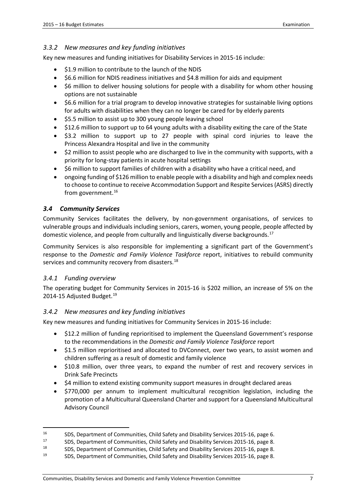#### <span id="page-12-0"></span>*3.3.2 New measures and key funding initiatives*

Key new measures and funding initiatives for Disability Services in 2015-16 include:

- \$1.9 million to contribute to the launch of the NDIS
- \$6.6 million for NDIS readiness initiatives and \$4.8 million for aids and equipment
- \$6 million to deliver housing solutions for people with a disability for whom other housing options are not sustainable
- \$6.6 million for a trial program to develop innovative strategies for sustainable living options for adults with disabilities when they can no longer be cared for by elderly parents
- \$5.5 million to assist up to 300 young people leaving school
- \$12.6 million to support up to 64 young adults with a disability exiting the care of the State
- \$3.2 million to support up to 27 people with spinal cord injuries to leave the Princess Alexandra Hospital and live in the community
- \$2 million to assist people who are discharged to live in the community with supports, with a priority for long-stay patients in acute hospital settings
- \$6 million to support families of children with a disability who have a critical need, and
- ongoing funding of \$126 million to enable people with a disability and high and complex needs to choose to continue to receive Accommodation Support and Respite Services (ASRS) directly from government.<sup>16</sup>

#### <span id="page-12-1"></span>*3.4 Community Services*

Community Services facilitates the delivery, by non-government organisations, of services to vulnerable groups and individuals including seniors, carers, women, young people, people affected by domestic violence, and people from culturally and linguistically diverse backgrounds.<sup>[17](#page-12-5)</sup>

Community Services is also responsible for implementing a significant part of the Government's response to the *Domestic and Family Violence Taskforce* report, initiatives to rebuild community services and community recovery from disasters.<sup>[18](#page-12-6)</sup>

#### <span id="page-12-2"></span>*3.4.1 Funding overview*

**.** 

The operating budget for Community Services in 2015-16 is \$202 million, an increase of 5% on the 2014-15 Adjusted Budget. [19](#page-12-7)

#### <span id="page-12-3"></span>*3.4.2 New measures and key funding initiatives*

Key new measures and funding initiatives for Community Services in 2015-16 include:

- \$12.2 million of funding reprioritised to implement the Queensland Government's response to the recommendations in the *Domestic and Family Violence Taskforce* report
- \$1.5 million reprioritised and allocated to DVConnect, over two years, to assist women and children suffering as a result of domestic and family violence
- \$10.8 million, over three years, to expand the number of rest and recovery services in Drink Safe Precincts
- \$4 million to extend existing community support measures in drought declared areas
- \$770,000 per annum to implement multicultural recognition legislation, including the promotion of a Multicultural Queensland Charter and support for a Queensland Multicultural Advisory Council

<span id="page-12-4"></span><sup>16</sup> SDS, Department of Communities, Child Safety and Disability Services 2015-16, page 6.<br>17 SDS, Department of Communities, Child Safety and Disability Services 2015-16, page 8.

<span id="page-12-5"></span><sup>17</sup> SDS, Department of Communities, Child Safety and Disability Services 2015-16, page 8.<br>18 SDS, Department of Communities, Child Safety and Disability Services 2015-16, page 8.

<span id="page-12-7"></span><span id="page-12-6"></span><sup>18</sup> SDS, Department of Communities, Child Safety and Disability Services 2015-16, page 8.<br>19 SDS, Department of Communities, Child Safety and Disability Services 2015-16, page 8.

<sup>19</sup> SDS, Department of Communities, Child Safety and Disability Services 2015-16, page 8.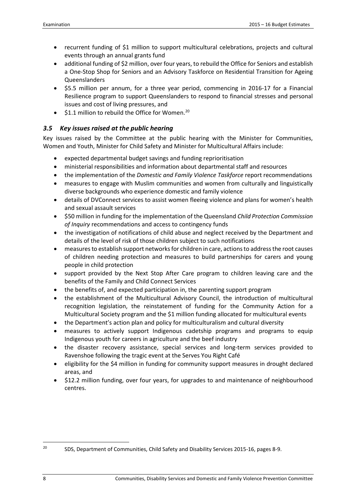- recurrent funding of \$1 million to support multicultural celebrations, projects and cultural events through an annual grants fund
- additional funding of \$2 million, over four years, to rebuild the Office for Seniors and establish a One-Stop Shop for Seniors and an Advisory Taskforce on Residential Transition for Ageing Queenslanders
- \$5.5 million per annum, for a three year period, commencing in 2016-17 for a Financial Resilience program to support Queenslanders to respond to financial stresses and personal issues and cost of living pressures, and
- \$1.1 million to rebuild the Office for Women.<sup>[20](#page-13-1)</sup>

# <span id="page-13-0"></span>*3.5 Key issues raised at the public hearing*

Key issues raised by the Committee at the public hearing with the Minister for Communities, Women and Youth, Minister for Child Safety and Minister for Multicultural Affairs include:

- expected departmental budget savings and funding reprioritisation
- ministerial responsibilities and information about departmental staff and resources
- the implementation of the *Domestic and Family Violence Taskforce* report recommendations
- measures to engage with Muslim communities and women from culturally and linguistically diverse backgrounds who experience domestic and family violence
- details of DVConnect services to assist women fleeing violence and plans for women's health and sexual assault services
- \$50 million in funding for the implementation of the Queensland *Child Protection Commission of Inquiry* recommendations and access to contingency funds
- the investigation of notifications of child abuse and neglect received by the Department and details of the level of risk of those children subject to such notifications
- measures to establish support networks for children in care, actions to address the root causes of children needing protection and measures to build partnerships for carers and young people in child protection
- support provided by the Next Stop After Care program to children leaving care and the benefits of the Family and Child Connect Services
- the benefits of, and expected participation in, the parenting support program
- the establishment of the Multicultural Advisory Council, the introduction of multicultural recognition legislation, the reinstatement of funding for the Community Action for a Multicultural Society program and the \$1 million funding allocated for multicultural events
- the Department's action plan and policy for multiculturalism and cultural diversity
- measures to actively support Indigenous cadetship programs and programs to equip Indigenous youth for careers in agriculture and the beef industry
- the disaster recovery assistance, special services and long-term services provided to Ravenshoe following the tragic event at the Serves You Right Café
- eligibility for the \$4 million in funding for community support measures in drought declared areas, and
- \$12.2 million funding, over four years, for upgrades to and maintenance of neighbourhood centres.

<span id="page-13-1"></span><sup>20</sup> SDS, Department of Communities, Child Safety and Disability Services 2015-16, pages 8-9.  $20\,$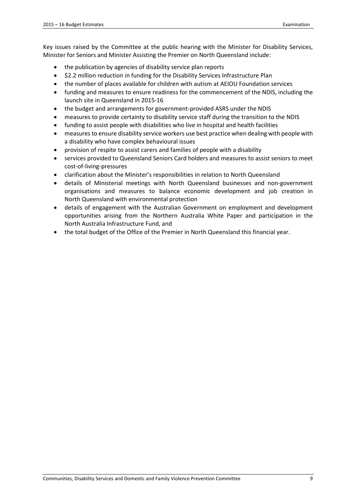Key issues raised by the Committee at the public hearing with the Minister for Disability Services, Minister for Seniors and Minister Assisting the Premier on North Queensland include:

- the publication by agencies of disability service plan reports
- \$2.2 million reduction in funding for the Disability Services Infrastructure Plan
- the number of places available for children with autism at AEIOU Foundation services
- funding and measures to ensure readiness for the commencement of the NDIS, including the launch site in Queensland in 2015-16
- the budget and arrangements for government-provided ASRS under the NDIS
- measures to provide certainty to disability service staff during the transition to the NDIS
- funding to assist people with disabilities who live in hospital and health facilities
- measures to ensure disability service workers use best practice when dealing with people with a disability who have complex behavioural issues
- provision of respite to assist carers and families of people with a disability
- services provided to Queensland Seniors Card holders and measures to assist seniors to meet cost-of-living-pressures
- clarification about the Minister's responsibilities in relation to North Queensland
- details of Ministerial meetings with North Queensland businesses and non-government organisations and measures to balance economic development and job creation in North Queensland with environmental protection
- details of engagement with the Australian Government on employment and development opportunities arising from the Northern Australia White Paper and participation in the North Australia Infrastructure Fund, and
- the total budget of the Office of the Premier in North Queensland this financial year.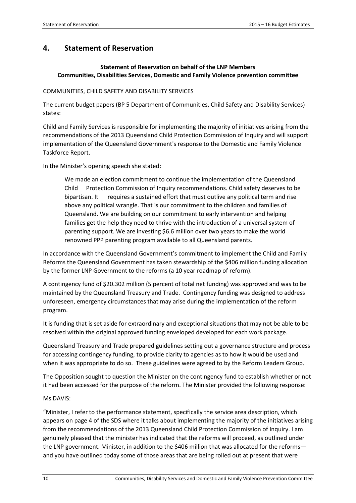## <span id="page-15-0"></span>**4. Statement of Reservation**

#### **Statement of Reservation on behalf of the LNP Members Communities, Disabilities Services, Domestic and Family Violence prevention committee**

#### COMMUNITIES, CHILD SAFETY AND DISABILITY SERVICES

The current budget papers (BP 5 Department of Communities, Child Safety and Disability Services) states:

Child and Family Services is responsible for implementing the majority of initiatives arising from the recommendations of the 2013 Queensland Child Protection Commission of Inquiry and will support implementation of the Queensland Government's response to the Domestic and Family Violence Taskforce Report.

In the Minister's opening speech she stated:

We made an election commitment to continue the implementation of the Queensland Child Protection Commission of Inquiry recommendations. Child safety deserves to be bipartisan. It requires a sustained effort that must outlive any political term and rise above any political wrangle. That is our commitment to the children and families of Queensland. We are building on our commitment to early intervention and helping families get the help they need to thrive with the introduction of a universal system of parenting support. We are investing \$6.6 million over two years to make the world renowned PPP parenting program available to all Queensland parents.

In accordance with the Queensland Government's commitment to implement the Child and Family Reforms the Queensland Government has taken stewardship of the \$406 million funding allocation by the former LNP Government to the reforms (a 10 year roadmap of reform).

A contingency fund of \$20.302 million (5 percent of total net funding) was approved and was to be maintained by the Queensland Treasury and Trade. Contingency funding was designed to address unforeseen, emergency circumstances that may arise during the implementation of the reform program.

It is funding that is set aside for extraordinary and exceptional situations that may not be able to be resolved within the original approved funding enveloped developed for each work package.

Queensland Treasury and Trade prepared guidelines setting out a governance structure and process for accessing contingency funding, to provide clarity to agencies as to how it would be used and when it was appropriate to do so. These guidelines were agreed to by the Reform Leaders Group.

The Opposition sought to question the Minister on the contingency fund to establish whether or not it had been accessed for the purpose of the reform. The Minister provided the following response:

#### Ms DAVIS:

"Minister, I refer to the performance statement, specifically the service area description, which appears on page 4 of the SDS where it talks about implementing the majority of the initiatives arising from the recommendations of the 2013 Queensland Child Protection Commission of Inquiry. I am genuinely pleased that the minister has indicated that the reforms will proceed, as outlined under the LNP government. Minister, in addition to the \$406 million that was allocated for the reforms and you have outlined today some of those areas that are being rolled out at present that were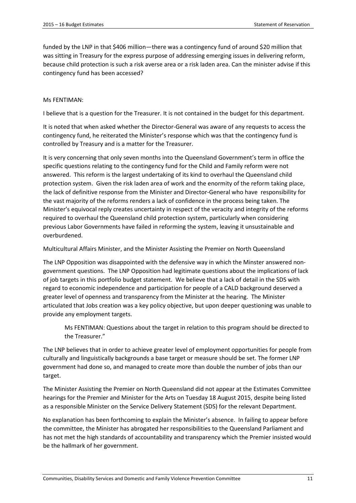funded by the LNP in that \$406 million—there was a contingency fund of around \$20 million that was sitting in Treasury for the express purpose of addressing emerging issues in delivering reform, because child protection is such a risk averse area or a risk laden area. Can the minister advise if this contingency fund has been accessed?

#### Ms FENTIMAN:

I believe that is a question for the Treasurer. It is not contained in the budget for this department.

It is noted that when asked whether the Director-General was aware of any requests to access the contingency fund, he reiterated the Minister's response which was that the contingency fund is controlled by Treasury and is a matter for the Treasurer.

It is very concerning that only seven months into the Queensland Government's term in office the specific questions relating to the contingency fund for the Child and Family reform were not answered. This reform is the largest undertaking of its kind to overhaul the Queensland child protection system. Given the risk laden area of work and the enormity of the reform taking place, the lack of definitive response from the Minister and Director-General who have responsibility for the vast majority of the reforms renders a lack of confidence in the process being taken. The Minister's equivocal reply creates uncertainty in respect of the veracity and integrity of the reforms required to overhaul the Queensland child protection system, particularly when considering previous Labor Governments have failed in reforming the system, leaving it unsustainable and overburdened.

Multicultural Affairs Minister, and the Minister Assisting the Premier on North Queensland

The LNP Opposition was disappointed with the defensive way in which the Minster answered nongovernment questions. The LNP Opposition had legitimate questions about the implications of lack of job targets in this portfolio budget statement. We believe that a lack of detail in the SDS with regard to economic independence and participation for people of a CALD background deserved a greater level of openness and transparency from the Minister at the hearing. The Minister articulated that Jobs creation was a key policy objective, but upon deeper questioning was unable to provide any employment targets.

Ms FENTIMAN: Questions about the target in relation to this program should be directed to the Treasurer."

The LNP believes that in order to achieve greater level of employment opportunities for people from culturally and linguistically backgrounds a base target or measure should be set. The former LNP government had done so, and managed to create more than double the number of jobs than our target.

The Minister Assisting the Premier on North Queensland did not appear at the Estimates Committee hearings for the Premier and Minister for the Arts on Tuesday 18 August 2015, despite being listed as a responsible Minister on the Service Delivery Statement (SDS) for the relevant Department.

No explanation has been forthcoming to explain the Minister's absence. In failing to appear before the committee, the Minister has abrogated her responsibilities to the Queensland Parliament and has not met the high standards of accountability and transparency which the Premier insisted would be the hallmark of her government.